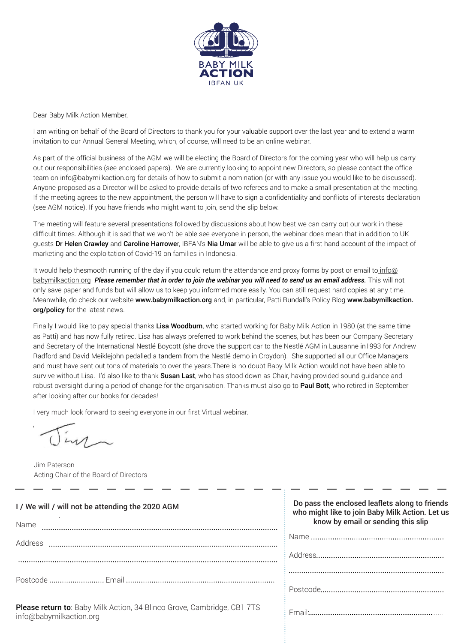

Dear Baby Milk Action Member,

I am writing on behalf of the Board of Directors to thank you for your valuable support over the last year and to extend a warm invitation to our Annual General Meeting, which, of course, will need to be an online webinar.

As part of the official business of the AGM we will be electing the Board of Directors for the coming year who will help us carry out our responsibilities (see enclosed papers). We are currently looking to appoint new Directors, so please contact the office team on info@babymilkaction.org for details of how to submit a nomination (or with any issue you would like to be discussed). Anyone proposed as a Director will be asked to provide details of two referees and to make a small presentation at the meeting. If the meeting agrees to the new appointment, the person will have to sign a confidentiality and conflicts of interests declaration (see AGM notice). If you have friends who might want to join, send the slip below.

The meeting will feature several presentations followed by discussions about how best we can carry out our work in these difficult times. Although it is sad that we won't be able see everyone in person, the webinar does mean that in addition to UK quests Dr Helen Crawley and Caroline Harrower, IBFAN's Nia Umar will be able to give us a first hand account of the impact of marketing and the exploitation of Covid-19 on families in Indonesia.

It would help thesmooth running of the day if you could return the attendance and proxy forms by post or email to info@ babymilkaction.org *Please remember that in order to join the webinar you will need to send us an email address.* This will not only save paper and funds but will allow us to keep you informed more easily. You can still request hard copies at any time. Meanwhile, do check our website www.babymilkaction.org and, in particular, Patti Rundall's Policy Blog www.babymilkaction. org/policy for the latest news.

Finally I would like to pay special thanks Lisa Woodburn, who started working for Baby Milk Action in 1980 (at the same time as Patti) and has now fully retired. Lisa has always preferred to work behind the scenes, but has been our Company Secretary and Secretary of the International Nestlé Boycott (she drove the support car to the Nestlé AGM in Lausanne in1993 for Andrew Radford and David Meiklejohn pedalled a tandem from the Nestlé demo in Croydon). She supported all our Office Managers and must have sent out tons of materials to over the years.There is no doubt Baby Milk Action would not have been able to survive without Lisa. I'd also like to thank Susan Last, who has stood down as Chair, having provided sound quidance and robust oversight during a period of change for the organisation. Thanks must also go to Paul Bott, who retired in September after looking after our books for decades!

I very much look forward to seeing everyone in our first Virtual webinar.

 $\overline{y}$ 

Jim Paterson Acting Chair of the Board of Directors

| I / We will / will not be attending the 2020 AGM<br>Name                                           | Do pass the enclosed leaflets along to friends<br>who might like to join Baby Milk Action. Let us<br>know by email or sending this slip |
|----------------------------------------------------------------------------------------------------|-----------------------------------------------------------------------------------------------------------------------------------------|
| Address                                                                                            |                                                                                                                                         |
|                                                                                                    |                                                                                                                                         |
|                                                                                                    |                                                                                                                                         |
|                                                                                                    |                                                                                                                                         |
| Please return to: Baby Milk Action, 34 Blinco Grove, Cambridge, CB1 7TS<br>info@babymilkaction.org |                                                                                                                                         |